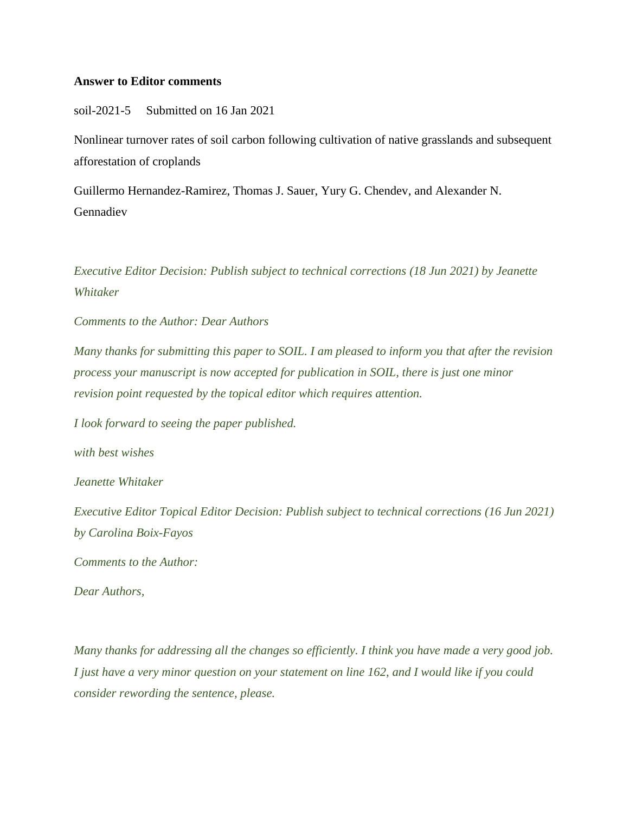## **Answer to Editor comments**

soil-2021-5 Submitted on 16 Jan 2021

Nonlinear turnover rates of soil carbon following cultivation of native grasslands and subsequent afforestation of croplands

Guillermo Hernandez-Ramirez, Thomas J. Sauer, Yury G. Chendev, and Alexander N. Gennadiev

*Executive Editor Decision: Publish subject to technical corrections (18 Jun 2021) by Jeanette Whitaker*

*Comments to the Author: Dear Authors*

*Many thanks for submitting this paper to SOIL. I am pleased to inform you that after the revision process your manuscript is now accepted for publication in SOIL, there is just one minor revision point requested by the topical editor which requires attention.*

*I look forward to seeing the paper published.*

*with best wishes*

*Jeanette Whitaker*

*Executive Editor Topical Editor Decision: Publish subject to technical corrections (16 Jun 2021) by Carolina Boix-Fayos*

*Comments to the Author:*

*Dear Authors,*

*Many thanks for addressing all the changes so efficiently. I think you have made a very good job. I just have a very minor question on your statement on line 162, and I would like if you could consider rewording the sentence, please.*